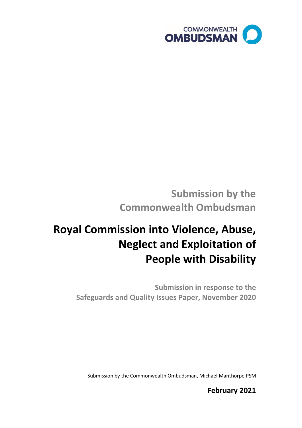

# **Submission by the Commonwealth Ombudsman**

# **Royal Commission into Violence, Abuse, Neglect and Exploitation of People with Disability**

**Submission in response to the Safeguards and Quality Issues Paper, November 2020**

Submission by the Commonwealth Ombudsman, Michael Manthorpe PSM

**February 2021**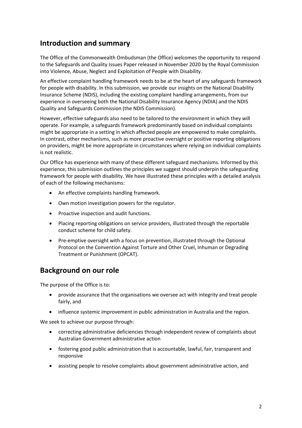## **Introduction and summary**

The Office of the Commonwealth Ombudsman (the Office) welcomes the opportunity to respond to the Safeguards and Quality Issues Paper released in November 2020 by the Royal Commission into Violence, Abuse, Neglect and Exploitation of People with Disability.

An effective complaint handling framework needs to be at the heart of any safeguards framework for people with disability. In this submission, we provide our insights on the National Disability Insurance Scheme (NDIS), including the existing complaint handling arrangements, from our experience in overseeing both the National Disability Insurance Agency (NDIA) and the NDIS Quality and Safeguards Commission (the NDIS Commission).

However, effective safeguards also need to be tailored to the environment in which they will operate. For example, a safeguards framework predominantly based on individual complaints might be appropriate in a setting in which affected people are empowered to make complaints. In contrast, other mechanisms, such as more proactive oversight or positive reporting obligations on providers, might be more appropriate in circumstances where relying on individual complaints is not realistic.

Our Office has experience with many of these different safeguard mechanisms. Informed by this experience, this submission outlines the principles we suggest should underpin the safeguarding framework for people with disability. We have illustrated these principles with a detailed analysis of each of the following mechanisms:

- An effective complaints handling framework.
- Own motion investigation powers for the regulator.
- Proactive inspection and audit functions.
- Placing reporting obligations on service providers, illustrated through the reportable conduct scheme for child safety.
- Pre-emptive oversight with a focus on prevention, illustrated through the Optional Protocol on the Convention Against Torture and Other Cruel, Inhuman or Degrading Treatment or Punishment (OPCAT).

### **Background on our role**

The purpose of the Office is to:

- provide assurance that the organisations we oversee act with integrity and treat people fairly, and
- influence systemic improvement in public administration in Australia and the region.

We seek to achieve our purpose through:

- correcting administrative deficiencies through independent review of complaints about Australian Government administrative action
- fostering good public administration that is accountable, lawful, fair, transparent and responsive
- assisting people to resolve complaints about government administrative action, and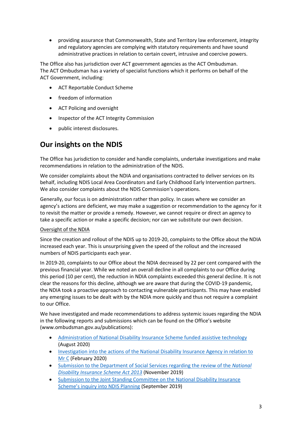• providing assurance that Commonwealth, State and Territory law enforcement, integrity and regulatory agencies are complying with statutory requirements and have sound administrative practices in relation to certain covert, intrusive and coercive powers.

The Office also has jurisdiction over ACT government agencies as the ACT Ombudsman. The ACT Ombudsman has a variety of specialist functions which it performs on behalf of the ACT Government, including:

- ACT Reportable Conduct Scheme
- freedom of information
- ACT Policing and oversight
- Inspector of the ACT Integrity Commission
- public interest disclosures.

# **Our insights on the NDIS**

The Office has jurisdiction to consider and handle complaints, undertake investigations and make recommendations in relation to the administration of the NDIS.

We consider complaints about the NDIA and organisations contracted to deliver services on its behalf, including NDIS Local Area Coordinators and Early Childhood Early Intervention partners. We also consider complaints about the NDIS Commission's operations.

Generally, our focus is on administration rather than policy. In cases where we consider an agency's actions are deficient, we may make a suggestion or recommendation to the agency for it to revisit the matter or provide a remedy. However, we cannot require or direct an agency to take a specific action or make a specific decision; nor can we substitute our own decision.

#### Oversight of the NDIA

Since the creation and rollout of the NDIS up to 2019-20, complaints to the Office about the NDIA increased each year. This is unsurprising given the speed of the rollout and the increased numbers of NDIS participants each year.

In 2019-20, complaints to our Office about the NDIA decreased by 22 per cent compared with the previous financial year. While we noted an overall decline in all complaints to our Office during this period (10 per cent), the reduction in NDIA complaints exceeded this general decline. It is not clear the reasons for this decline, although we are aware that during the COVID-19 pandemic, the NDIA took a proactive approach to contacting vulnerable participants. This may have enabled any emerging issues to be dealt with by the NDIA more quickly and thus not require a complaint to our Office.

We have investigated and made recommendations to address systemic issues regarding the NDIA in the following reports and submissions which can be found on the Office's website (www.ombudsman.gov.au/publications):

- [Administration of National Disability Insurance Scheme funded assistive technology](https://www.ombudsman.gov.au/__data/assets/pdf_file/0015/111363/Administration-of-NDIS-funded-assistive-technology.pdf) (August 2020)
- [Investigation into the actions of the National Disability](https://www.ombudsman.gov.au/__data/assets/pdf_file/0018/110619/Investigation-into-the-actions-of-the-NDIA-in-relation-to-Mr-C.pdf) Insurance Agency in relation to [Mr](https://www.ombudsman.gov.au/__data/assets/pdf_file/0018/110619/Investigation-into-the-actions-of-the-NDIA-in-relation-to-Mr-C.pdf) C (February 2020)
- [Submission to the Department of Social Services regarding the review of the](https://engage.dss.gov.au/wp-content/uploads/2019/11/Commonwealth-Ombudsman.pdf) *National [Disability Insurance Scheme Act 2013](https://engage.dss.gov.au/wp-content/uploads/2019/11/Commonwealth-Ombudsman.pdf)* (November 2019)
- [Submission to the Joint Standing Committee on the National Disability Insurance](https://www.aph.gov.au/DocumentStore.ashx?id=fd1294b6-2021-4e4e-a335-0fd363a8550d&subId=671109)  [Scheme's inquiry into NDIS Planning](https://www.aph.gov.au/DocumentStore.ashx?id=fd1294b6-2021-4e4e-a335-0fd363a8550d&subId=671109) (September 2019)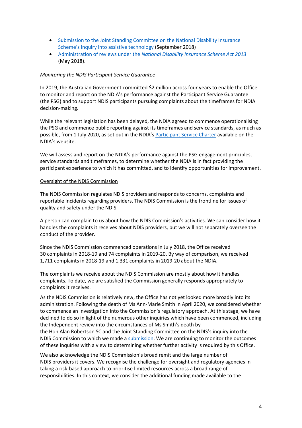- [Submission to the Joint Standing Committee on the National Disability Insurance](https://www.aph.gov.au/DocumentStore.ashx?id=c6cba3a2-8bad-4184-9460-16562643b002&subId=659763)  [Scheme's inquiry into assistive technology](https://www.aph.gov.au/DocumentStore.ashx?id=c6cba3a2-8bad-4184-9460-16562643b002&subId=659763) (September 2018)
- Administration of reviews under the *[National Disability Insurance Scheme Act 2013](https://www.ombudsman.gov.au/__data/assets/pdf_file/0029/83981/NDIS-NDIA-Final-report-on-administration-of-reviews-under-the-Act.pdf)* (May 2018).

#### *Monitoring the NDIS Participant Service Guarantee*

In 2019, the Australian Government committed \$2 million across four years to enable the Office to monitor and report on the NDIA's performance against the Participant Service Guarantee (the PSG) and to support NDIS participants pursuing complaints about the timeframes for NDIA decision-making.

While the relevant legislation has been delayed, the NDIA agreed to commence operationalising the PSG and commence public reporting against its timeframes and service standards, as much as possible, from 1 July 2020, as set out in the NDIA's **[Participant Service Charter](https://www.ndis.gov.au/about-us/policies/service-charter)** available on the NDIA's website.

We will assess and report on the NDIA's performance against the PSG engagement principles, service standards and timeframes, to determine whether the NDIA is in fact providing the participant experience to which it has committed, and to identify opportunities for improvement.

#### Oversight of the NDIS Commission

The NDIS Commission regulates NDIS providers and responds to concerns, complaints and reportable incidents regarding providers. The NDIS Commission is the frontline for issues of quality and safety under the NDIS.

A person can complain to us about how the NDIS Commission's activities. We can consider how it handles the complaints it receives about NDIS providers, but we will not separately oversee the conduct of the provider.

Since the NDIS Commission commenced operations in July 2018, the Office received 30 complaints in 2018-19 and 74 complaints in 2019-20. By way of comparison, we received 1,711 complaints in 2018-19 and 1,331 complaints in 2019-20 about the NDIA.

The complaints we receive about the NDIS Commission are mostly about how it handles complaints. To date, we are satisfied the Commission generally responds appropriately to complaints it receives.

As the NDIS Commission is relatively new, the Office has not yet looked more broadly into its administration. Following the death of Ms Ann-Marie Smith in April 2020, we considered whether to commence an investigation into the Commission's regulatory approach. At this stage, we have declined to do so in light of the numerous other inquiries which have been commenced, including the Independent review into the circumstances of Ms Smith's death by the Hon Alan Robertson SC and the Joint Standing Committee on the NDIS's inquiry into the NDIS Commission to which we made [a submission.](https://www.aph.gov.au/Parliamentary_Business/Committees/Joint/National_Disability_Insurance_Scheme/QS_Commission/Submissions) We are continuing to monitor the outcomes of these inquiries with a view to determining whether further activity is required by this Office.

We also acknowledge the NDIS Commission's broad remit and the large number of NDIS providers it covers. We recognise the challenge for oversight and regulatory agencies in taking a risk-based approach to prioritise limited resources across a broad range of responsibilities. In this context, we consider the additional funding made available to the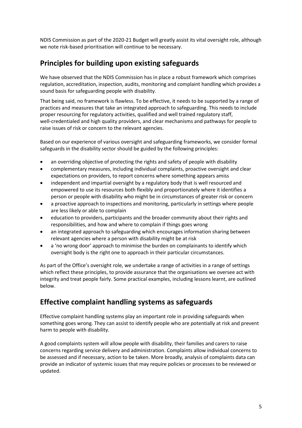NDIS Commission as part of the 2020-21 Budget will greatly assist its vital oversight role, although we note risk-based prioritisation will continue to be necessary.

# **Principles for building upon existing safeguards**

We have observed that the NDIS Commission has in place a robust framework which comprises regulation, accreditation, inspection, audits, monitoring and complaint handling which provides a sound basis for safeguarding people with disability.

That being said, no framework is flawless. To be effective, it needs to be supported by a range of practices and measures that take an integrated approach to safeguarding. This needs to include proper resourcing for regulatory activities, qualified and well trained regulatory staff, well-credentialed and high quality providers, and clear mechanisms and pathways for people to raise issues of risk or concern to the relevant agencies.

Based on our experience of various oversight and safeguarding frameworks, we consider formal safeguards in the disability sector should be guided by the following principles:

- an overriding objective of protecting the rights and safety of people with disability
- complementary measures, including individual complaints, proactive oversight and clear expectations on providers, to report concerns where something appears amiss
- independent and impartial oversight by a regulatory body that is well resourced and empowered to use its resources both flexibly and proportionately where it identifies a person or people with disability who might be in circumstances of greater risk or concern
- a proactive approach to inspections and monitoring, particularly in settings where people are less likely or able to complain
- education to providers, participants and the broader community about their rights and responsibilities, and how and where to complain if things goes wrong
- an integrated approach to safeguarding which encourages information sharing between relevant agencies where a person with disability might be at risk
- a 'no wrong door' approach to minimise the burden on complainants to identify which oversight body is the right one to approach in their particular circumstances.

As part of the Office's oversight role, we undertake a range of activities in a range of settings which reflect these principles, to provide assurance that the organisations we oversee act with integrity and treat people fairly. Some practical examples, including lessons learnt, are outlined below.

## **Effective complaint handling systems as safeguards**

Effective complaint handling systems play an important role in providing safeguards when something goes wrong. They can assist to identify people who are potentially at risk and prevent harm to people with disability.

A good complaints system will allow people with disability, their families and carers to raise concerns regarding service delivery and administration. Complaints allow individual concerns to be assessed and if necessary, action to be taken. More broadly, analysis of complaints data can provide an indicator of systemic issues that may require policies or processes to be reviewed or updated.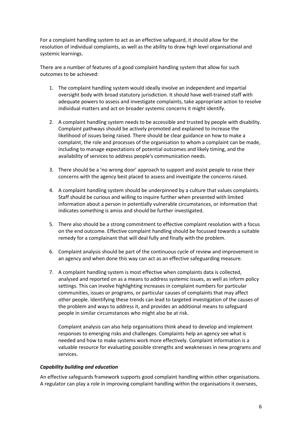For a complaint handling system to act as an effective safeguard, it should allow for the resolution of individual complaints, as well as the ability to draw high level organisational and systemic learnings.

There are a number of features of a good complaint handling system that allow for such outcomes to be achieved:

- 1. The complaint handling system would ideally involve an independent and impartial oversight body with broad statutory jurisdiction. It should have well-trained staff with adequate powers to assess and investigate complaints, take appropriate action to resolve individual matters and act on broader systemic concerns it might identify.
- 2. A complaint handling system needs to be accessible and trusted by people with disability. Complaint pathways should be actively promoted and explained to increase the likelihood of issues being raised. There should be clear guidance on how to make a complaint, the role and processes of the organisation to whom a complaint can be made, including to manage expectations of potential outcomes and likely timing, and the availability of services to address people's communication needs.
- 3. There should be a 'no wrong door' approach to support and assist people to raise their concerns with the agency best placed to assess and investigate the concerns raised.
- 4. A complaint handling system should be underpinned by a culture that values complaints. Staff should be curious and willing to inquire further when presented with limited information about a person in potentially vulnerable circumstances, or information that indicates something is amiss and should be further investigated.
- 5. There also should be a strong commitment to effective complaint resolution with a focus on the end outcome. Effective complaint handling should be focussed towards a suitable remedy for a complainant that will deal fully and finally with the problem.
- 6. Complaint analysis should be part of the continuous cycle of review and improvement in an agency and when done this way can act as an effective safeguarding measure.
- 7. A complaint handling system is most effective when complaints data is collected, analysed and reported on as a means to address systemic issues, as well as inform policy settings. This can involve highlighting increases in complaint numbers for particular communities, issues or programs, or particular causes of complaints that may affect other people. Identifying these trends can lead to targeted investigation of the causes of the problem and ways to address it, and provides an additional means to safeguard people in similar circumstances who might also be at risk.

Complaint analysis can also help organisations think ahead to develop and implement responses to emerging risks and challenges. Complaints help an agency see what is needed and how to make systems work more effectively. Complaint information is a valuable resource for evaluating possible strengths and weaknesses in new programs and services.

#### *Capability building and education*

An effective safeguards framework supports good complaint handling within other organisations. A regulator can play a role in improving complaint handling within the organisations it oversees,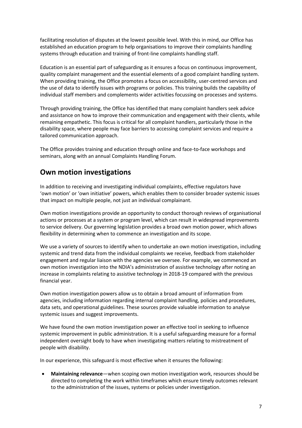facilitating resolution of disputes at the lowest possible level. With this in mind, our Office has established an education program to help organisations to improve their complaints handling systems through education and training of front-line complaints handling staff.

Education is an essential part of safeguarding as it ensures a focus on continuous improvement, quality complaint management and the essential elements of a good complaint handling system. When providing training, the Office promotes a focus on accessibility, user-centred services and the use of data to identify issues with programs or policies. This training builds the capability of individual staff members and complements wider activities focussing on processes and systems.

Through providing training, the Office has identified that many complaint handlers seek advice and assistance on how to improve their communication and engagement with their clients, while remaining empathetic. This focus is critical for all complaint handlers, particularly those in the disability space, where people may face barriers to accessing complaint services and require a tailored communication approach.

The Office provides training and education through online and face-to-face workshops and seminars, along with an annual Complaints Handling Forum.

### **Own motion investigations**

In addition to receiving and investigating individual complaints, effective regulators have 'own motion' or 'own initiative' powers, which enables them to consider broader systemic issues that impact on multiple people, not just an individual complainant.

Own motion investigations provide an opportunity to conduct thorough reviews of organisational actions or processes at a system or program level, which can result in widespread improvements to service delivery. Our governing legislation provides a broad own motion power, which allows flexibility in determining when to commence an investigation and its scope.

We use a variety of sources to identify when to undertake an own motion investigation, including systemic and trend data from the individual complaints we receive, feedback from stakeholder engagement and regular liaison with the agencies we oversee. For example, we commenced an own motion investigation into the NDIA's administration of assistive technology after noting an increase in complaints relating to assistive technology in 2018-19 compared with the previous financial year.

Own motion investigation powers allow us to obtain a broad amount of information from agencies, including information regarding internal complaint handling, policies and procedures, data sets, and operational guidelines. These sources provide valuable information to analyse systemic issues and suggest improvements.

We have found the own motion investigation power an effective tool in seeking to influence systemic improvement in public administration. It is a useful safeguarding measure for a formal independent oversight body to have when investigating matters relating to mistreatment of people with disability.

In our experience, this safeguard is most effective when it ensures the following:

• **Maintaining relevance**—when scoping own motion investigation work, resources should be directed to completing the work within timeframes which ensure timely outcomes relevant to the administration of the issues, systems or policies under investigation.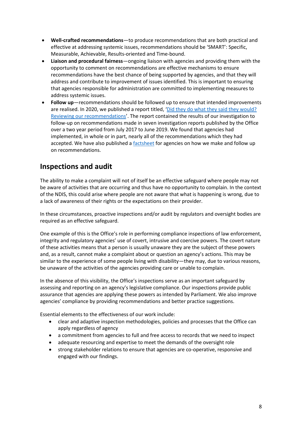- **Well-crafted recommendations**—to produce recommendations that are both practical and effective at addressing systemic issues, recommendations should be 'SMART': Specific, Measurable, Achievable, Results-oriented and Time-bound.
- **Liaison and procedural fairness**—ongoing liaison with agencies and providing them with the opportunity to comment on recommendations are effective mechanisms to ensure recommendations have the best chance of being supported by agencies, and that they will address and contribute to improvement of issues identified. This is important to ensuring that agencies responsible for administration are committed to implementing measures to address systemic issues.
- **Follow up**—recommendations should be followed up to ensure that intended improvements are realised. In 2020, we published a report titled, '[Did they do what they said they would?](https://www.ombudsman.gov.au/__data/assets/pdf_file/0013/111460/Did-they-do-what-they-said-they-would-report.pdf)  [Reviewing our recommendations](https://www.ombudsman.gov.au/__data/assets/pdf_file/0013/111460/Did-they-do-what-they-said-they-would-report.pdf)'. The report contained the results of our investigation to follow-up on recommendations made in seven investigation reports published by the Office over a two year period from July 2017 to June 2019. We found that agencies had implemented, in whole or in part, nearly all of the recommendations which they had accepted. We have also published [a factsheet](https://www.ombudsman.gov.au/__data/assets/pdf_file/0016/111670/Crafting-Recommendations-Fact-Sheet.pdf) for agencies on how we make and follow up on recommendations.

## **Inspections and audit**

The ability to make a complaint will not of itself be an effective safeguard where people may not be aware of activities that are occurring and thus have no opportunity to complain. In the context of the NDIS, this could arise where people are not aware that what is happening is wrong, due to a lack of awareness of their rights or the expectations on their provider.

In these circumstances, proactive inspections and/or audit by regulators and oversight bodies are required as an effective safeguard.

One example of this is the Office's role in performing compliance inspections of law enforcement, integrity and regulatory agencies' use of covert, intrusive and coercive powers. The covert nature of these activities means that a person is usually unaware they are the subject of these powers and, as a result, cannot make a complaint about or question an agency's actions. This may be similar to the experience of some people living with disability—they may, due to various reasons, be unaware of the activities of the agencies providing care or unable to complain.

In the absence of this visibility, the Office's inspections serve as an important safeguard by assessing and reporting on an agency's legislative compliance. Our inspections provide public assurance that agencies are applying these powers as intended by Parliament. We also improve agencies' compliance by providing recommendations and better practice suggestions.

Essential elements to the effectiveness of our work include:

- clear and adaptive inspection methodologies, policies and processes that the Office can apply regardless of agency
- a commitment from agencies to full and free access to records that we need to inspect
- adequate resourcing and expertise to meet the demands of the oversight role
- strong stakeholder relations to ensure that agencies are co-operative, responsive and engaged with our findings.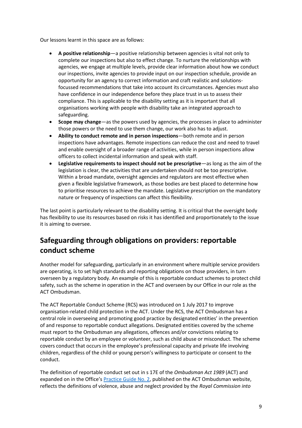Our lessons learnt in this space are as follows:

- **A positive relationship**—a positive relationship between agencies is vital not only to complete our inspections but also to effect change. To nurture the relationships with agencies, we engage at multiple levels, provide clear information about how we conduct our inspections, invite agencies to provide input on our inspection schedule, provide an opportunity for an agency to correct information and craft realistic and solutionsfocussed recommendations that take into account its circumstances. Agencies must also have confidence in our independence before they place trust in us to assess their compliance. This is applicable to the disability setting as it is important that all organisations working with people with disability take an integrated approach to safeguarding.
- **Scope may change**—as the powers used by agencies, the processes in place to administer those powers or the need to use them change, our work also has to adjust.
- **Ability to conduct remote and in person inspections**—both remote and in person inspections have advantages. Remote inspections can reduce the cost and need to travel and enable oversight of a broader range of activities, while in person inspections allow officers to collect incidental information and speak with staff.
- **Legislative requirements to inspect should not be prescriptive**—as long as the aim of the legislation is clear, the activities that are undertaken should not be too prescriptive. Within a broad mandate, oversight agencies and regulators are most effective when given a flexible legislative framework, as those bodies are best placed to determine how to prioritise resources to achieve the mandate. Legislative prescription on the mandatory nature or frequency of inspections can affect this flexibility.

The last point is particularly relevant to the disability setting. It is critical that the oversight body has flexibility to use its resources based on risks it has identified and proportionately to the issue it is aiming to oversee.

# **Safeguarding through obligations on providers: reportable conduct scheme**

Another model for safeguarding, particularly in an environment where multiple service providers are operating, is to set high standards and reporting obligations on those providers, in turn overseen by a regulatory body. An example of this is reportable conduct schemes to protect child safety, such as the scheme in operation in the ACT and overseen by our Office in our role as the ACT Ombudsman.

The ACT Reportable Conduct Scheme (RCS) was introduced on 1 July 2017 to improve organisation-related child protection in the ACT. Under the RCS, the ACT Ombudsman has a central role in overseeing and promoting good practice by designated entities' in the prevention of and response to reportable conduct allegations. Designated entities covered by the scheme must report to the Ombudsman any allegations, offences and/or convictions relating to reportable conduct by an employee or volunteer, such as child abuse or misconduct. The scheme covers conduct that occurs in the employee's professional capacity and private life involving children, regardless of the child or young person's willingness to participate or consent to the conduct.

The definition of reportable conduct set out in s 17E of the *Ombudsman Act 1989* (ACT) and expanded on in the Office's **Practice Guide No. 2**, published on the ACT Ombudsman website, reflects the definitions of violence, abuse and neglect provided by the *Royal Commission into*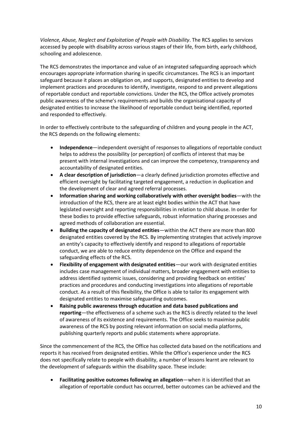*Violence, Abuse, Neglect and Exploitation of People with Disability*. The RCS applies to services accessed by people with disability across various stages of their life, from birth, early childhood, schooling and adolescence.

The RCS demonstrates the importance and value of an integrated safeguarding approach which encourages appropriate information sharing in specific circumstances. The RCS is an important safeguard because it places an obligation on, and supports, designated entities to develop and implement practices and procedures to identify, investigate, respond to and prevent allegations of reportable conduct and reportable convictions. Under the RCS, the Office actively promotes public awareness of the scheme's requirements and builds the organisational capacity of designated entities to increase the likelihood of reportable conduct being identified, reported and responded to effectively.

In order to effectively contribute to the safeguarding of children and young people in the ACT, the RCS depends on the following elements:

- **Independence**—independent oversight of responses to allegations of reportable conduct helps to address the possibility (or perception) of conflicts of interest that may be present with internal investigations and can improve the competency, transparency and accountability of designated entities.
- **A clear description of jurisdiction**—a clearly defined jurisdiction promotes effective and efficient oversight by facilitating targeted engagement, a reduction in duplication and the development of clear and agreed referral processes.
- **Information sharing and working collaboratively with other oversight bodies**—with the introduction of the RCS, there are at least eight bodies within the ACT that have legislated oversight and reporting responsibilities in relation to child abuse. In order for these bodies to provide effective safeguards, robust information sharing processes and agreed methods of collaboration are essential.
- **Building the capacity of designated entities**—within the ACT there are more than 800 designated entities covered by the RCS. By implementing strategies that actively improve an entity's capacity to effectively identify and respond to allegations of reportable conduct, we are able to reduce entity dependence on the Office and expand the safeguarding effects of the RCS.
- **Flexibility of engagement with designated entities**—our work with designated entities includes case management of individual matters, broader engagement with entities to address identified systemic issues, considering and providing feedback on entities' practices and procedures and conducting investigations into allegations of reportable conduct. As a result of this flexibility, the Office is able to tailor its engagement with designated entities to maximise safeguarding outcomes.
- **Raising public awareness through education and data based publications and reporting**—the effectiveness of a scheme such as the RCS is directly related to the level of awareness of its existence and requirements. The Office seeks to maximise public awareness of the RCS by posting relevant information on social media platforms, publishing quarterly reports and public statements where appropriate.

Since the commencement of the RCS, the Office has collected data based on the notifications and reports it has received from designated entities. While the Office's experience under the RCS does not specifically relate to people with disability, a number of lessons learnt are relevant to the development of safeguards within the disability space. These include:

• **Facilitating positive outcomes following an allegation**—when it is identified that an allegation of reportable conduct has occurred, better outcomes can be achieved and the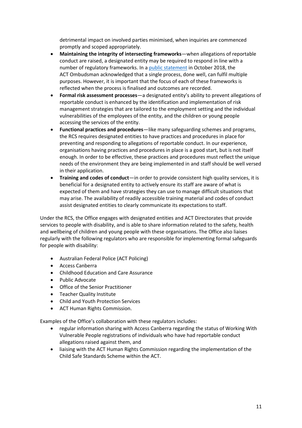detrimental impact on involved parties minimised, when inquiries are commenced promptly and scoped appropriately.

- **Maintaining the integrity of intersecting frameworks**—when allegations of reportable conduct are raised, a designated entity may be required to respond in line with a number of regulatory frameworks. In [a public statement](https://www.ombudsman.act.gov.au/__data/assets/pdf_file/0032/89564/Public-Statement-about-a-reportable-conduct-investigation.pdf) in October 2018, the ACT Ombudsman acknowledged that a single process, done well, can fulfil multiple purposes. However, it is important that the focus of each of these frameworks is reflected when the process is finalised and outcomes are recorded.
- **Formal risk assessment processes**—a designated entity's ability to prevent allegations of reportable conduct is enhanced by the identification and implementation of risk management strategies that are tailored to the employment setting and the individual vulnerabilities of the employees of the entity, and the children or young people accessing the services of the entity.
- **Functional practices and procedures**—like many safeguarding schemes and programs, the RCS requires designated entities to have practices and procedures in place for preventing and responding to allegations of reportable conduct. In our experience, organisations having practices and procedures in place is a good start, but is not itself enough. In order to be effective, these practices and procedures must reflect the unique needs of the environment they are being implemented in and staff should be well versed in their application.
- **Training and codes of conduct**—in order to provide consistent high quality services, it is beneficial for a designated entity to actively ensure its staff are aware of what is expected of them and have strategies they can use to manage difficult situations that may arise. The availability of readily accessible training material and codes of conduct assist designated entities to clearly communicate its expectations to staff.

Under the RCS, the Office engages with designated entities and ACT Directorates that provide services to people with disability, and is able to share information related to the safety, health and wellbeing of children and young people with these organisations. The Office also liaises regularly with the following regulators who are responsible for implementing formal safeguards for people with disability:

- Australian Federal Police (ACT Policing)
- Access Canberra
- Childhood Education and Care Assurance
- Public Advocate
- Office of the Senior Practitioner
- Teacher Quality Institute
- Child and Youth Protection Services
- ACT Human Rights Commission.

Examples of the Office's collaboration with these regulators includes:

- regular information sharing with Access Canberra regarding the status of Working With Vulnerable People registrations of individuals who have had reportable conduct allegations raised against them, and
- liaising with the ACT Human Rights Commission regarding the implementation of the Child Safe Standards Scheme within the ACT.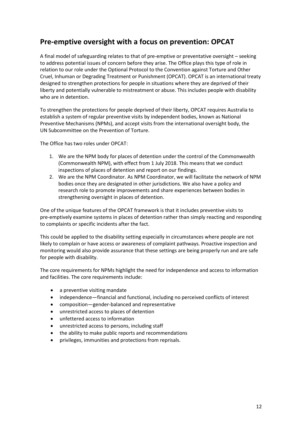## **Pre-emptive oversight with a focus on prevention: OPCAT**

A final model of safeguarding relates to that of pre-emptive or preventative oversight – seeking to address potential issues of concern before they arise. The Office plays this type of role in relation to our role under the Optional Protocol to the Convention against Torture and Other Cruel, Inhuman or Degrading Treatment or Punishment (OPCAT). OPCAT is an international treaty designed to strengthen protections for people in situations where they are deprived of their liberty and potentially vulnerable to mistreatment or abuse. This includes people with disability who are in detention.

To strengthen the protections for people deprived of their liberty, OPCAT requires Australia to establish a system of regular preventive visits by independent bodies, known as National Preventive Mechanisms (NPMs), and accept visits from the international oversight body, the UN Subcommittee on the Prevention of Torture.

The Office has two roles under OPCAT:

- 1. We are the NPM body for places of detention under the control of the Commonwealth (Commonwealth NPM), with effect from 1 July 2018. This means that we conduct inspections of places of detention and report on our findings.
- 2. We are the NPM Coordinator. As NPM Coordinator, we will facilitate the network of NPM bodies once they are designated in other jurisdictions. We also have a policy and research role to promote improvements and share experiences between bodies in strengthening oversight in places of detention.

One of the unique features of the OPCAT framework is that it includes preventive visits to pre-emptively examine systems in places of detention rather than simply reacting and responding to complaints or specific incidents after the fact.

This could be applied to the disability setting especially in circumstances where people are not likely to complain or have access or awareness of complaint pathways. Proactive inspection and monitoring would also provide assurance that these settings are being properly run and are safe for people with disability.

The core requirements for NPMs highlight the need for independence and access to information and facilities. The core requirements include:

- a preventive visiting mandate
- independence—financial and functional, including no perceived conflicts of interest
- composition—gender-balanced and representative
- unrestricted access to places of detention
- unfettered access to information
- unrestricted access to persons, including staff
- the ability to make public reports and recommendations
- privileges, immunities and protections from reprisals.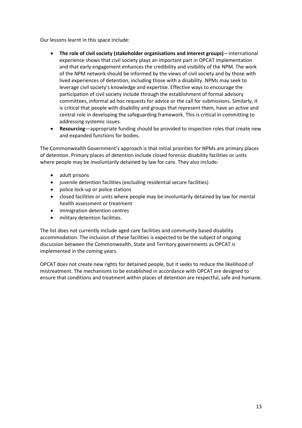Our lessons learnt in this space include:

- **The role of civil society (stakeholder organisations and interest groups)**—international experience shows that civil society plays an important part in OPCAT implementation and that early engagement enhances the credibility and visibility of the NPM. The work of the NPM network should be informed by the views of civil society and by those with lived experiences of detention, including those with a disability. NPMs may seek to leverage civil society's knowledge and expertise. Effective ways to encourage the participation of civil society include through the establishment of formal advisory committees, informal ad hoc requests for advice or the call for submissions. Similarly, it is critical that people with disability and groups that represent them, have an active and central role in developing the safeguarding framework. This is critical in committing to addressing systemic issues.
- **Resourcing**—appropriate funding should be provided to inspection roles that create new and expanded functions for bodies.

The Commonwealth Government's approach is that initial priorities for NPMs are primary places of detention. Primary places of detention include closed forensic disability facilities or units where people may be involuntarily detained by law for care. They also include:

- adult prisons
- juvenile detention facilities (excluding residential secure facilities)
- police lock-up or police stations
- closed facilities or units where people may be involuntarily detained by law for mental health assessment or treatment
- immigration detention centres
- military detention facilities.

The list does not currently include aged care facilities and community based disability accommodation. The inclusion of these facilities is expected to be the subject of ongoing discussion between the Commonwealth, State and Territory governments as OPCAT is implemented in the coming years.

OPCAT does not create new rights for detained people, but it seeks to reduce the likelihood of mistreatment. The mechanisms to be established in accordance with OPCAT are designed to ensure that conditions and treatment within places of detention are respectful, safe and humane.